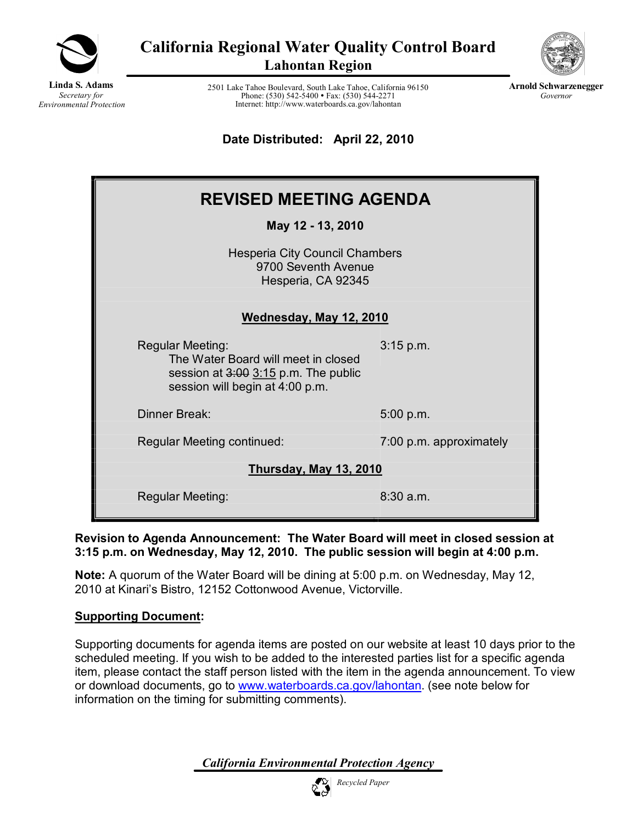

**California Regional Water Quality Control Board Lahontan Region**



**Arnold Schwarzenegger** *Governor*

**Linda S. Adams** *Secretary for Environmental Protection*

2501 Lake Tahoe Boulevard, South Lake Tahoe, California 96150 Phone: (530) 542-5400 • Fax: (530) 544-2271 Internet: http://www.waterboards.ca.gov/lahontan

**Date Distributed: April 22, 2010** 

| <b>REVISED MEETING AGENDA</b>                                                                                                                 |                         |  |  |  |
|-----------------------------------------------------------------------------------------------------------------------------------------------|-------------------------|--|--|--|
| May 12 - 13, 2010                                                                                                                             |                         |  |  |  |
| <b>Hesperia City Council Chambers</b><br>9700 Seventh Avenue<br>Hesperia, CA 92345                                                            |                         |  |  |  |
| Wednesday, May 12, 2010                                                                                                                       |                         |  |  |  |
| <b>Regular Meeting:</b><br>The Water Board will meet in closed<br>session at $3:00$ $3:15$ p.m. The public<br>session will begin at 4:00 p.m. | 3:15 p.m.               |  |  |  |
| Dinner Break:                                                                                                                                 | 5:00 p.m.               |  |  |  |
| Regular Meeting continued:                                                                                                                    | 7:00 p.m. approximately |  |  |  |
| <b>Thursday, May 13, 2010</b>                                                                                                                 |                         |  |  |  |
| Regular Meeting:                                                                                                                              | $8:30$ a.m.             |  |  |  |

**Revision to Agenda Announcement: The Water Board will meet in closed session at 3:15 p.m. on Wednesday, May 12, 2010. The public session will begin at 4:00 p.m.**

**Note:** A quorum of the Water Board will be dining at 5:00 p.m. on Wednesday, May 12, 2010 at Kinari's Bistro, 12152 Cottonwood Avenue, Victorville.

## **Supporting Document:**

Supporting documents for agenda items are posted on our website at least 10 days prior to the scheduled meeting. If you wish to be added to the interested parties list for a specific agenda item, please contact the staff person listed with the item in the agenda announcement. To view or download documents, go to [www.waterboards.ca.gov/lahontan](http://www.waterboards.ca.gov/lahontan). (see note below for information on the timing for submitting comments).

*California Environmental Protection Agency*

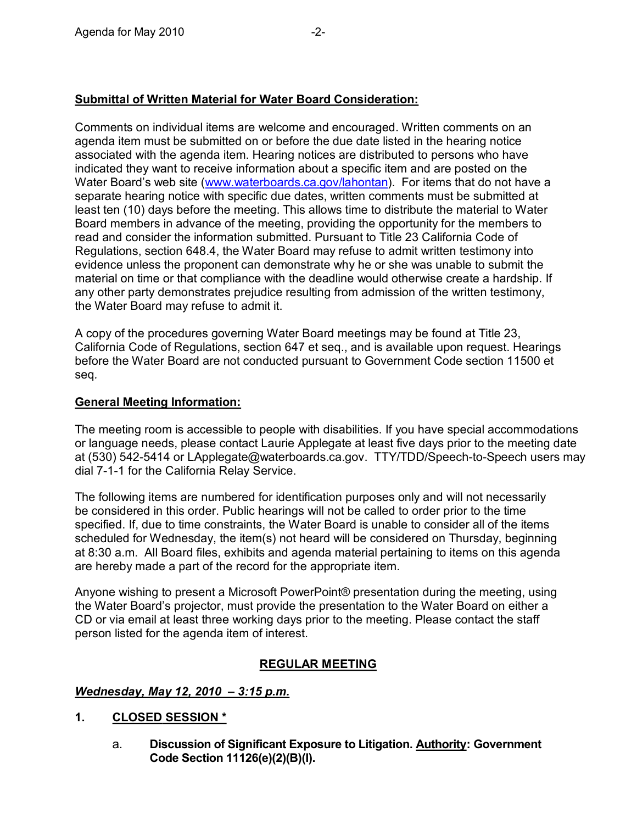## **Submittal of Written Material for Water Board Consideration:**

Comments on individual items are welcome and encouraged. Written comments on an agenda item must be submitted on or before the due date listed in the hearing notice associated with the agenda item. Hearing notices are distributed to persons who have indicated they want to receive information about a specific item and are posted on the Water Board's web site [\(www.waterboards.ca.gov/lahontan\)](http://www.waterboards.ca.gov/lahontan). For items that do not have a separate hearing notice with specific due dates, written comments must be submitted at least ten (10) days before the meeting. This allows time to distribute the material to Water Board members in advance of the meeting, providing the opportunity for the members to read and consider the information submitted. Pursuant to Title 23 California Code of Regulations, section 648.4, the Water Board may refuse to admit written testimony into evidence unless the proponent can demonstrate why he or she was unable to submit the material on time or that compliance with the deadline would otherwise create a hardship. If any other party demonstrates prejudice resulting from admission of the written testimony, the Water Board may refuse to admit it.

A copy of the procedures governing Water Board meetings may be found at Title 23, California Code of Regulations, section 647 et seq., and is available upon request. Hearings before the Water Board are not conducted pursuant to Government Code section 11500 et seq*.*

### **General Meeting Information:**

The meeting room is accessible to people with disabilities. If you have special accommodations or language needs, please contact Laurie Applegate at least five days prior to the meeting date at (530) 542-5414 or LApplegate@waterboards.ca.gov. TTY/TDD/Speech-to-Speech users may dial 7-1-1 for the California Relay Service.

The following items are numbered for identification purposes only and will not necessarily be considered in this order. Public hearings will not be called to order prior to the time specified. If, due to time constraints, the Water Board is unable to consider all of the items scheduled for Wednesday, the item(s) not heard will be considered on Thursday, beginning at 8:30 a.m. All Board files, exhibits and agenda material pertaining to items on this agenda are hereby made a part of the record for the appropriate item.

Anyone wishing to present a Microsoft PowerPoint® presentation during the meeting, using the Water Board's projector, must provide the presentation to the Water Board on either a CD or via email at least three working days prior to the meeting. Please contact the staff person listed for the agenda item of interest.

### **REGULAR MEETING**

#### *Wednesday, May 12, 2010 – 3:15 p.m.*

- **1. CLOSED SESSION \***
	- a. **Discussion of Significant Exposure to Litigation. Authority: Government Code Section 11126(e)(2)(B)(I).**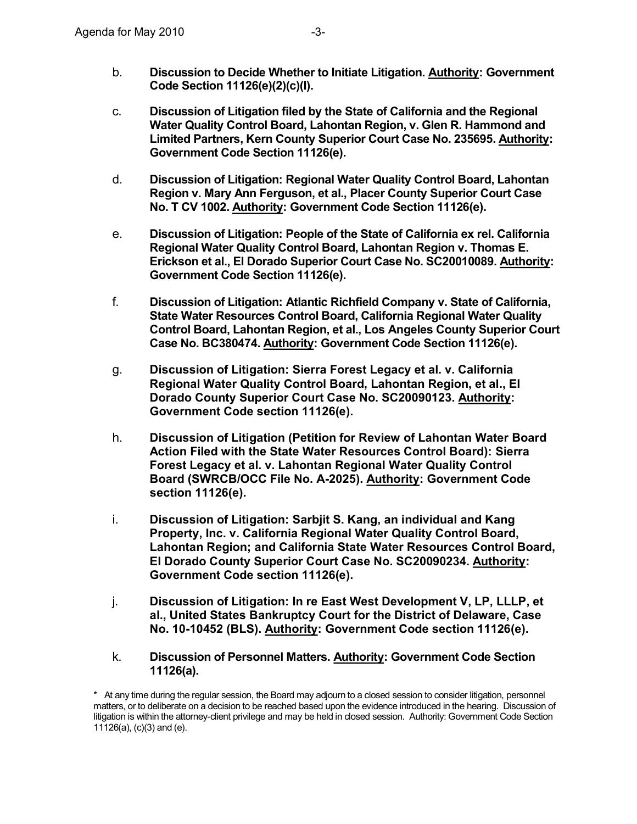- b. **Discussion to Decide Whether to Initiate Litigation. Authority: Government Code Section 11126(e)(2)(c)(I).**
- c. **Discussion of Litigation filed by the State of California and the Regional Water Quality Control Board, Lahontan Region, v. Glen R. Hammond and Limited Partners, Kern County Superior Court Case No. 235695. Authority: Government Code Section 11126(e).**
- d. **Discussion of Litigation: Regional Water Quality Control Board, Lahontan Region v.Mary Ann Ferguson, et al., Placer County Superior Court Case No. T CV 1002. Authority: Government Code Section 11126(e).**
- e. **Discussion of Litigation: People of the State of California ex rel. California Regional Water Quality Control Board, Lahontan Region v.Thomas E. Erickson et al., El Dorado Superior Court Case No. SC20010089. Authority: Government Code Section 11126(e).**
- f. **Discussion of Litigation: Atlantic Richfield Company v. State of California, State Water Resources Control Board, California Regional Water Quality Control Board, Lahontan Region, et al., Los Angeles County Superior Court Case No. BC380474. Authority: Government Code Section 11126(e).**
- g. **Discussion of Litigation: Sierra Forest Legacy et al. v. California Regional Water Quality Control Board, Lahontan Region, et al., El Dorado County Superior Court Case No. SC20090123. Authority: Government Code section 11126(e).**
- h. **Discussion of Litigation (Petition for Review of Lahontan Water Board Action Filed with the State Water Resources Control Board): Sierra Forest Legacy et al. v. Lahontan Regional Water Quality Control Board (SWRCB/OCC File No. A2025). Authority: Government Code section 11126(e).**
- i. **Discussion of Litigation: Sarbjit S. Kang, an individual and Kang Property, Inc. v. California Regional Water Quality Control Board, Lahontan Region; and California State Water Resources Control Board, El Dorado County Superior Court Case No. SC20090234. Authority: Government Code section 11126(e).**
- j. **Discussion of Litigation: In re East West Development V, LP, LLLP, et al., United States Bankruptcy Court for the District of Delaware, Case No. 1010452 (BLS). Authority: Government Code section 11126(e).**
- k. **Discussion of Personnel Matters. Authority: Government Code Section 11126(a).**

<sup>\*</sup> At any time during the regular session, the Board may adjourn to a closed session to consider litigation, personnel matters, or to deliberate on a decision to be reached based upon the evidence introduced in the hearing. Discussion of litigation is within the attorney-client privilege and may be held in closed session. Authority: Government Code Section 11126(a), (c)(3) and (e).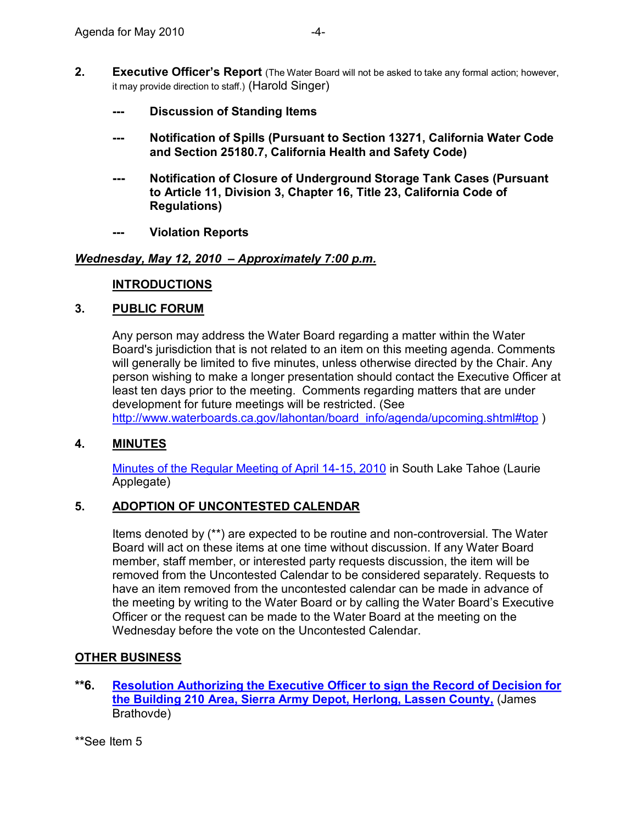- **2. Executive Officer's Report** (The Water Board will not be asked to take any formal action; however, it may provide direction to staff.) (Harold Singer)
	- **Discussion of Standing Items**
	- **Notification of Spills (Pursuant to Section 13271, California Water Code and Section 25180.7, California Health and Safety Code)**
	- **Notification of Closure of Underground Storage Tank Cases (Pursuant to Article 11, Division 3, Chapter 16, Title 23, California Code of Regulations)**
	- **Violation Reports**

### *Wednesday, May 12, 2010 – Approximately 7:00 p.m.*

#### **INTRODUCTIONS**

#### **3. PUBLIC FORUM**

Any person may address the Water Board regarding a matter within the Water Board's jurisdiction that is not related to an item on this meeting agenda. Comments will generally be limited to five minutes, unless otherwise directed by the Chair. Any person wishing to make a longer presentation should contact the Executive Officer at least ten days prior to the meeting. Comments regarding matters that are under development for future meetings will be restricted. (See [http://www.waterboards.ca.gov/lahontan/board\\_info/agenda/upcoming.shtml#top](http://www.waterboards.ca.gov/lahontan/board_info/agenda/upcoming.shtml) )

### **4. MINUTES**

Minutes of the Regular Meeting of April 14-15, 2010 in South Lake Tahoe (Laurie Applegate)

### **5. ADOPTION OF UNCONTESTED CALENDAR**

Items denoted by  $(**)$  are expected to be routine and non-controversial. The Water Board will act on these items at one time without discussion. If any Water Board member, staff member, or interested party requests discussion, the item will be removed from the Uncontested Calendar to be considered separately. Requests to have an item removed from the uncontested calendar can be made in advance of the meeting by writing to the Water Board or by calling the Water Board's Executive Officer or the request can be made to the Water Board at the meeting on the Wednesday before the vote on the Uncontested Calendar.

### **OTHER BUSINESS**

- **\*\*6. [Resolution Authorizing the Executive Officer to sign the Record of Decision for](http://www.waterboards.ca.gov/lahontan/board_info/agenda/2010/may/siad.pdf)  the Building 210 Area, Sierra Army Depot, Herlong, Lassen County,** (James Brathovde)
- \*\*See Item 5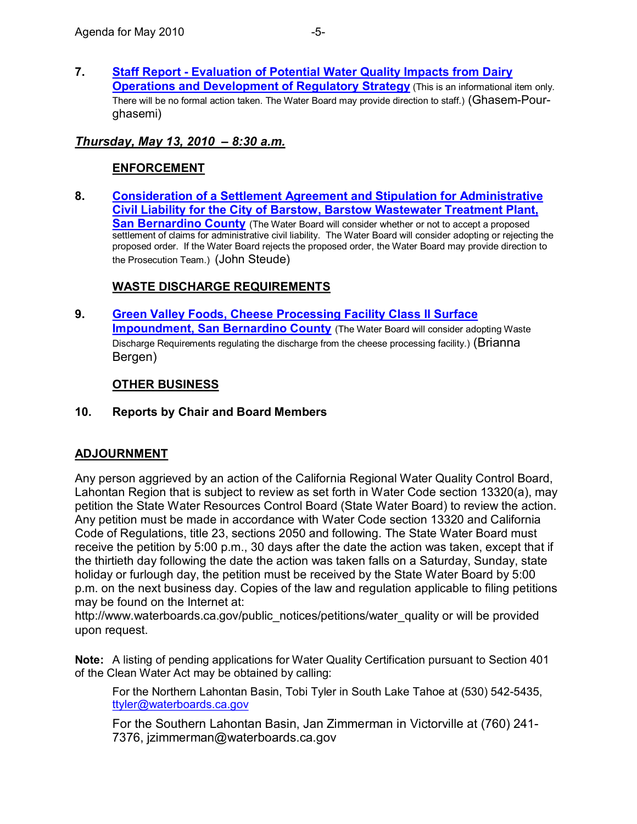**7. Staff Report Evaluation of Potential Water Quality Impacts from Dairy Operations and [Development of Regulatory](http://www.waterboards.ca.gov/lahontan/board_info/agenda/2010/may/dairy_strat.pdf) Strategy** (This is an informational item only. There will be no formal action taken. The Water Board may provide direction to staff.) (Ghasem-Pourghasemi)

## *Thursday, May 13, 2010 – 8:30 a.m.*

## **ENFORCEMENT**

**8. Consideration of a [Settlement Agreement and](http://www.waterboards.ca.gov/lahontan/water_issues/programs/waste_discharge_requirements/barstow/barstow_wwtp.shtml) Stipulation for Administrative Civil Liability for the City of Barstow, Barstow Wastewater Treatment Plant, San Bernardino County** (The Water Board will consider whether or not to accept a proposed settlement of claims for administrative civil liability. The Water Board will consider adopting or rejecting the proposed order. If the Water Board rejects the proposed order, the Water Board may provide direction to the Prosecution Team.) (John Steude)

## **WASTE DISCHARGE REQUIREMENTS**

**9. Green Valley Foods, Cheese Processing Facility Class ll Surface Impoundment, [San Bernardino](http://www.waterboards.ca.gov/lahontan/board_info/agenda/2010/mar/greenvalleyfoods.pdf) County** (The Water Board will consider adopting Waste Discharge Requirements regulating the discharge from the cheese processing facility.) (Brianna Bergen)

## **OTHER BUSINESS**

### **10. Reports by Chair and Board Members**

### **ADJOURNMENT**

Any person aggrieved by an action of the California Regional Water Quality Control Board, Lahontan Region that is subject to review as set forth in Water Code section 13320(a), may petition the State Water Resources Control Board (State Water Board) to review the action. Any petition must be made in accordance with Water Code section 13320 and California Code of Regulations, title 23, sections 2050 and following. The State Water Board must receive the petition by 5:00 p.m., 30 days after the date the action was taken, except that if the thirtieth day following the date the action was taken falls on a Saturday, Sunday, state holiday or furlough day, the petition must be received by the State Water Board by 5:00 p.m. on the next business day. Copies of the law and regulation applicable to filing petitions may be found on the Internet at:

[http://www.waterboards.ca.gov/public\\_notices/petitions/water\\_quality](http://www.waterboards.ca.gov/public_notices/petitions/water_quality) or will be provided upon request.

**Note:** A listing of pending applications for Water Quality Certification pursuant to Section 401 of the Clean Water Act may be obtained by calling:

For the Northern Lahontan Basin, Tobi Tyler in South Lake Tahoe at (530) 542-5435, [ttyler@waterboards.ca.gov](mailto:ttyler@waterboards.ca.gov)

For the Southern Lahontan Basin, Jan Zimmerman in Victorville at (760) 241 7376, jzimmerman@waterboards.ca.gov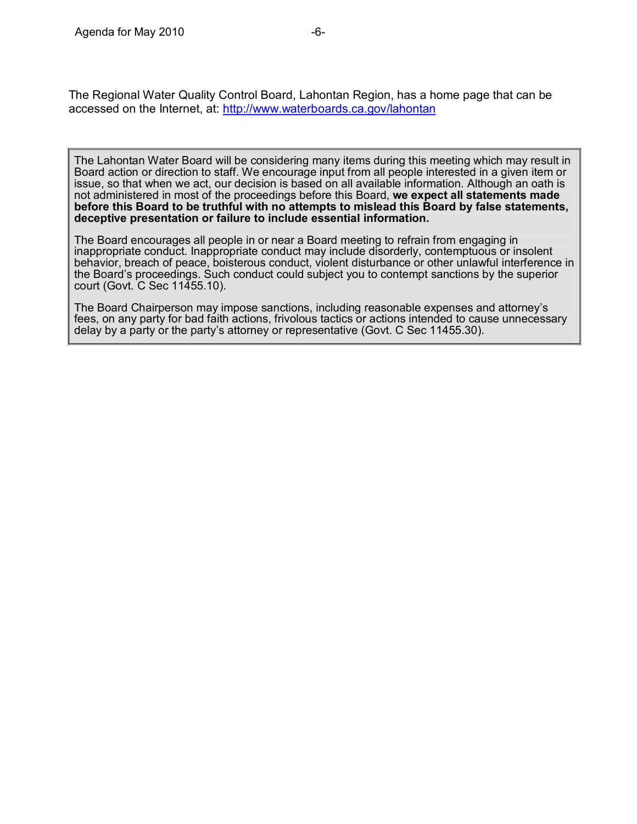The Regional Water Quality Control Board, Lahontan Region, has a home page that can be accessed on the Internet, at: <http://www.waterboards.ca.gov/lahontan>

The Lahontan Water Board will be considering many items during this meeting which may result in Board action or direction to staff. We encourage input from all people interested in a given item or issue, so that when we act, our decision is based on all available information. Although an oath is not administered in most of the proceedings before this Board, **we expect all statements made before this Board to be truthful with no attempts to mislead this Board by false statements, deceptive presentation or failure to include essential information.**

The Board encourages all people in or near a Board meeting to refrain from engaging in inappropriate conduct. Inappropriate conduct may include disorderly, contemptuous or insolent behavior, breach of peace, boisterous conduct, violent disturbance or other unlawful interference in the Board's proceedings. Such conduct could subject you to contempt sanctions by the superior court (Govt. C Sec 11455.10).

The Board Chairperson may impose sanctions, including reasonable expenses and attorney's fees, on any party for bad faith actions, frivolous tactics or actions intended to cause unnecessary delay by a party or the party's attorney or representative (Govt. C Sec 11455.30).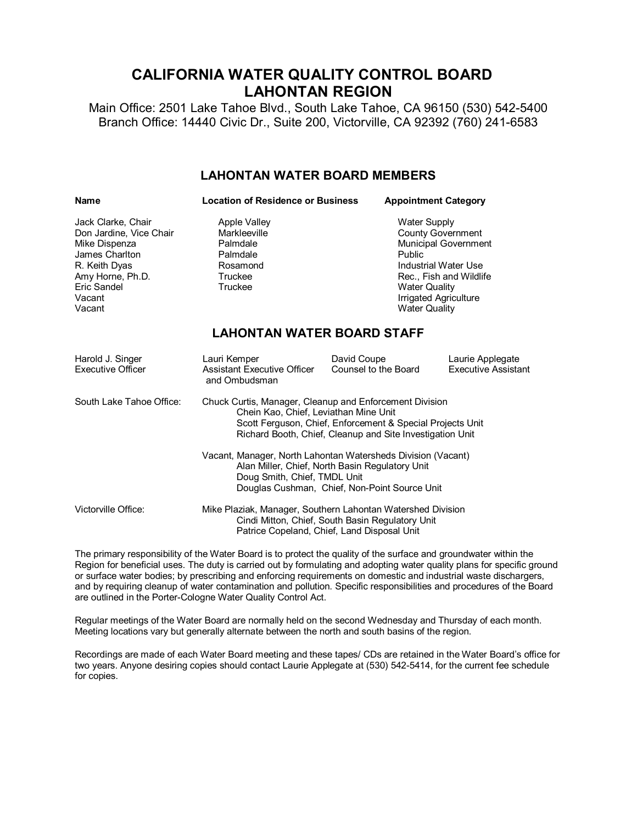# **CALIFORNIA WATER QUALITY CONTROL BOARD LAHONTAN REGION**

Main Office: 2501 Lake Tahoe Blvd., South Lake Tahoe, CA 96150 (530) 542-5400 Branch Office: 14440 Civic Dr., Suite 200, Victorville, CA 92392 (760) 2416583

#### **LAHONTAN WATER BOARD MEMBERS**

| <b>Name</b>                                                                                                                                              | <b>Location of Residence or Business</b>                                                                                                                                                                                    |                                     | <b>Appointment Category</b>                                                                                                                                                                                   |  |
|----------------------------------------------------------------------------------------------------------------------------------------------------------|-----------------------------------------------------------------------------------------------------------------------------------------------------------------------------------------------------------------------------|-------------------------------------|---------------------------------------------------------------------------------------------------------------------------------------------------------------------------------------------------------------|--|
| Jack Clarke, Chair<br>Don Jardine, Vice Chair<br>Mike Dispenza<br>James Charlton<br>R. Keith Dyas<br>Amy Horne, Ph.D.<br>Eric Sandel<br>Vacant<br>Vacant | <b>Apple Valley</b><br>Markleeville<br>Palmdale<br>Palmdale<br>Rosamond<br>Truckee<br>Truckee                                                                                                                               |                                     | <b>Water Supply</b><br><b>County Government</b><br>Municipal Government<br>Public<br>Industrial Water Use<br>Rec., Fish and Wildlife<br><b>Water Quality</b><br>Irrigated Agriculture<br><b>Water Quality</b> |  |
| <b>LAHONTAN WATER BOARD STAFF</b>                                                                                                                        |                                                                                                                                                                                                                             |                                     |                                                                                                                                                                                                               |  |
| Harold J. Singer<br>Executive Officer                                                                                                                    | Lauri Kemper<br><b>Assistant Executive Officer</b><br>and Ombudsman                                                                                                                                                         | David Coupe<br>Counsel to the Board | Laurie Applegate<br><b>Executive Assistant</b>                                                                                                                                                                |  |
| South Lake Tahoe Office:                                                                                                                                 | Chuck Curtis, Manager, Cleanup and Enforcement Division<br>Chein Kao, Chief, Leviathan Mine Unit<br>Scott Ferguson, Chief, Enforcement & Special Projects Unit<br>Richard Booth, Chief, Cleanup and Site Investigation Unit |                                     |                                                                                                                                                                                                               |  |
|                                                                                                                                                          | Vacant, Manager, North Lahontan Watersheds Division (Vacant)<br>Alan Miller, Chief, North Basin Regulatory Unit<br>Doug Smith, Chief, TMDL Unit<br>Douglas Cushman, Chief, Non-Point Source Unit                            |                                     |                                                                                                                                                                                                               |  |
| Victorville Office:                                                                                                                                      | Mike Plaziak, Manager, Southern Lahontan Watershed Division<br>Cindi Mitton, Chief, South Basin Regulatory Unit<br>Patrice Copeland, Chief, Land Disposal Unit                                                              |                                     |                                                                                                                                                                                                               |  |

The primary responsibility of the Water Board is to protect the quality of the surface and groundwater within the Region for beneficial uses. The duty is carried out by formulating and adopting water quality plans for specific ground or surface water bodies; by prescribing and enforcing requirements on domestic and industrial waste dischargers, and by requiring cleanup of water contamination and pollution. Specific responsibilities and procedures of the Board are outlined in the Porter-Cologne Water Quality Control Act.

Regular meetings of the Water Board are normally held on the second Wednesday and Thursday of each month. Meeting locations vary but generally alternate between the north and south basins of the region.

Recordings are made of each Water Board meeting and these tapes/ CDs are retained in the Water Board's office for two years. Anyone desiring copies should contact Laurie Applegate at (530) 542-5414, for the current fee schedule for copies.